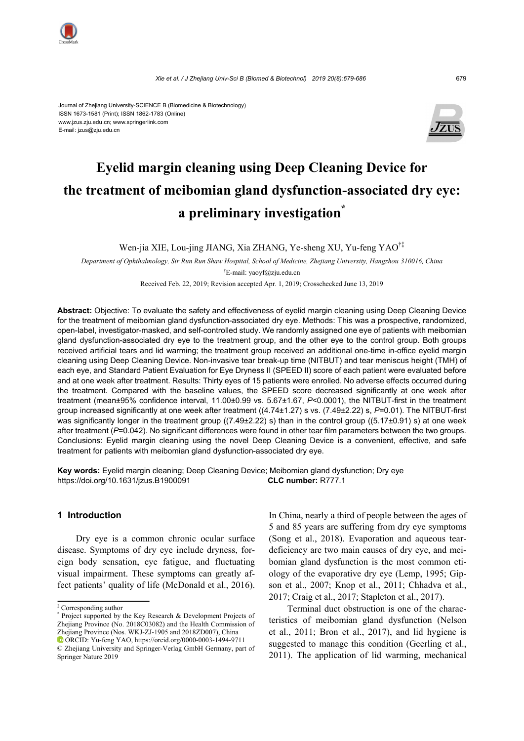

#### Journal of Zhejiang University-SCIENCE B (Biomedicine & Biotechnology) ISSN 1673-1581 (Print); ISSN 1862-1783 (Online) www.jzus.zju.edu.cn; www.springerlink.com E-mail: jzus@zju.edu.cn



# **Eyelid margin cleaning using Deep Cleaning Device for the treatment of meibomian gland dysfunction-associated dry eye: a preliminary investigation\***

Wen-jia XIE, Lou-jing JIANG, Xia ZHANG, Ye-sheng XU, Yu-feng YAO†‡

*Department of Ophthalmology, Sir Run Run Shaw Hospital, School of Medicine, Zhejiang University, Hangzhou 310016, China*  † E-mail: yaoyf@zju.edu.cn

Received Feb. 22, 2019; Revision accepted Apr. 1, 2019; Crosschecked June 13, 2019

**Abstract:** Objective: To evaluate the safety and effectiveness of eyelid margin cleaning using Deep Cleaning Device for the treatment of meibomian gland dysfunction-associated dry eye. Methods: This was a prospective, randomized, open-label, investigator-masked, and self-controlled study. We randomly assigned one eye of patients with meibomian gland dysfunction-associated dry eye to the treatment group, and the other eye to the control group. Both groups received artificial tears and lid warming; the treatment group received an additional one-time in-office eyelid margin cleaning using Deep Cleaning Device. Non-invasive tear break-up time (NITBUT) and tear meniscus height (TMH) of each eye, and Standard Patient Evaluation for Eye Dryness II (SPEED II) score of each patient were evaluated before and at one week after treatment. Results: Thirty eyes of 15 patients were enrolled. No adverse effects occurred during the treatment. Compared with the baseline values, the SPEED score decreased significantly at one week after treatment (mean±95% confidence interval, 11.00±0.99 vs. 5.67±1.67, *P*<0.0001), the NITBUT-first in the treatment group increased significantly at one week after treatment ((4.74±1.27) s vs. (7.49±2.22) s, *P*=0.01). The NITBUT-first was significantly longer in the treatment group ((7.49±2.22) s) than in the control group ((5.17±0.91) s) at one week after treatment ( $P=0.042$ ). No significant differences were found in other tear film parameters between the two groups. Conclusions: Eyelid margin cleaning using the novel Deep Cleaning Device is a convenient, effective, and safe treatment for patients with meibomian gland dysfunction-associated dry eye.

**Key words:** Eyelid margin cleaning; Deep Cleaning Device; Meibomian gland dysfunction; Dry eye https://doi.org/10.1631/jzus.B1900091 **CLC number:** R777.1

# **1 Introduction**

Dry eye is a common chronic ocular surface disease. Symptoms of dry eye include dryness, foreign body sensation, eye fatigue, and fluctuating visual impairment. These symptoms can greatly affect patients' quality of life (McDonald et al., 2016).

Springer Nature 2019

In China, nearly a third of people between the ages of 5 and 85 years are suffering from dry eye symptoms (Song et al., 2018). Evaporation and aqueous teardeficiency are two main causes of dry eye, and meibomian gland dysfunction is the most common etiology of the evaporative dry eye (Lemp, 1995; Gipson et al., 2007; Knop et al., 2011; Chhadva et al., 2017; Craig et al., 2017; Stapleton et al., 2017).

Terminal duct obstruction is one of the characteristics of meibomian gland dysfunction (Nelson et al., 2011; Bron et al., 2017), and lid hygiene is suggested to manage this condition (Geerling et al., 2011). The application of lid warming, mechanical

<sup>‡</sup> Corresponding author

<sup>\*</sup> Project supported by the Key Research & Development Projects of Zhejiang Province (No. 2018C03082) and the Health Commission of Zhejiang Province (Nos. WKJ-ZJ-1905 and 2018ZD007), China

ORCID: Yu-feng YAO, https://orcid.org/0000-0003-1494-9711 © Zhejiang University and Springer-Verlag GmbH Germany, part of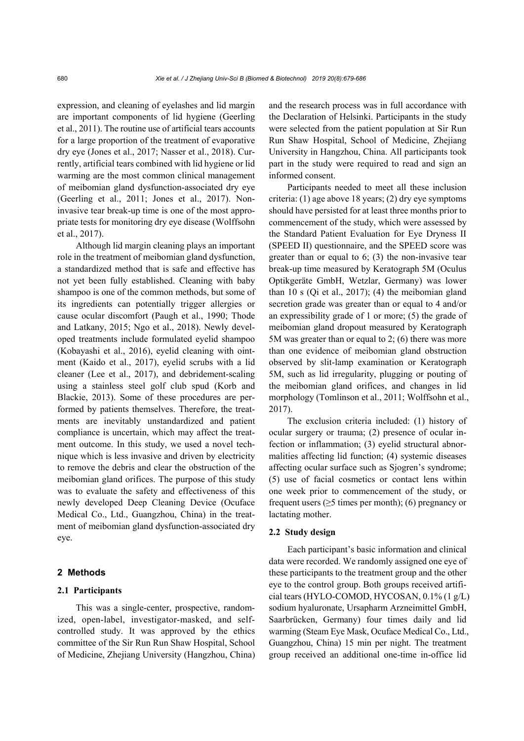expression, and cleaning of eyelashes and lid margin are important components of lid hygiene (Geerling et al., 2011). The routine use of artificial tears accounts for a large proportion of the treatment of evaporative dry eye (Jones et al., 2017; Nasser et al., 2018). Currently, artificial tears combined with lid hygiene or lid warming are the most common clinical management of meibomian gland dysfunction-associated dry eye (Geerling et al., 2011; Jones et al., 2017). Noninvasive tear break-up time is one of the most appropriate tests for monitoring dry eye disease (Wolffsohn et al., 2017).

Although lid margin cleaning plays an important role in the treatment of meibomian gland dysfunction, a standardized method that is safe and effective has not yet been fully established. Cleaning with baby shampoo is one of the common methods, but some of its ingredients can potentially trigger allergies or cause ocular discomfort (Paugh et al., 1990; Thode and Latkany, 2015; Ngo et al., 2018). Newly developed treatments include formulated eyelid shampoo (Kobayashi et al., 2016), eyelid cleaning with ointment (Kaido et al., 2017), eyelid scrubs with a lid cleaner (Lee et al., 2017), and debridement-scaling using a stainless steel golf club spud (Korb and Blackie, 2013). Some of these procedures are performed by patients themselves. Therefore, the treatments are inevitably unstandardized and patient compliance is uncertain, which may affect the treatment outcome. In this study, we used a novel technique which is less invasive and driven by electricity to remove the debris and clear the obstruction of the meibomian gland orifices. The purpose of this study was to evaluate the safety and effectiveness of this newly developed Deep Cleaning Device (Ocuface Medical Co., Ltd., Guangzhou, China) in the treatment of meibomian gland dysfunction-associated dry eye.

# **2 Methods**

# **2.1 Participants**

This was a single-center, prospective, randomized, open-label, investigator-masked, and selfcontrolled study. It was approved by the ethics committee of the Sir Run Run Shaw Hospital, School of Medicine, Zhejiang University (Hangzhou, China) and the research process was in full accordance with the Declaration of Helsinki. Participants in the study were selected from the patient population at Sir Run Run Shaw Hospital, School of Medicine, Zhejiang University in Hangzhou, China. All participants took part in the study were required to read and sign an informed consent.

Participants needed to meet all these inclusion criteria: (1) age above 18 years; (2) dry eye symptoms should have persisted for at least three months prior to commencement of the study, which were assessed by the Standard Patient Evaluation for Eye Dryness II (SPEED II) questionnaire, and the SPEED score was greater than or equal to 6; (3) the non-invasive tear break-up time measured by Keratograph 5M (Oculus Optikgeräte GmbH, Wetzlar, Germany) was lower than 10 s (Qi et al., 2017); (4) the meibomian gland secretion grade was greater than or equal to 4 and/or an expressibility grade of 1 or more; (5) the grade of meibomian gland dropout measured by Keratograph 5M was greater than or equal to 2; (6) there was more than one evidence of meibomian gland obstruction observed by slit-lamp examination or Keratograph 5M, such as lid irregularity, plugging or pouting of the meibomian gland orifices, and changes in lid morphology (Tomlinson et al., 2011; Wolffsohn et al., 2017).

The exclusion criteria included: (1) history of ocular surgery or trauma; (2) presence of ocular infection or inflammation; (3) eyelid structural abnormalities affecting lid function; (4) systemic diseases affecting ocular surface such as Sjogren's syndrome; (5) use of facial cosmetics or contact lens within one week prior to commencement of the study, or frequent users ( $\geq$ 5 times per month); (6) pregnancy or lactating mother.

#### **2.2 Study design**

Each participant's basic information and clinical data were recorded. We randomly assigned one eye of these participants to the treatment group and the other eye to the control group. Both groups received artificial tears (HYLO-COMOD, HYCOSAN, 0.1% (1 g/L) sodium hyaluronate, Ursapharm Arzneimittel GmbH, Saarbrücken, Germany) four times daily and lid warming (Steam Eye Mask, Ocuface Medical Co., Ltd., Guangzhou, China) 15 min per night. The treatment group received an additional one-time in-office lid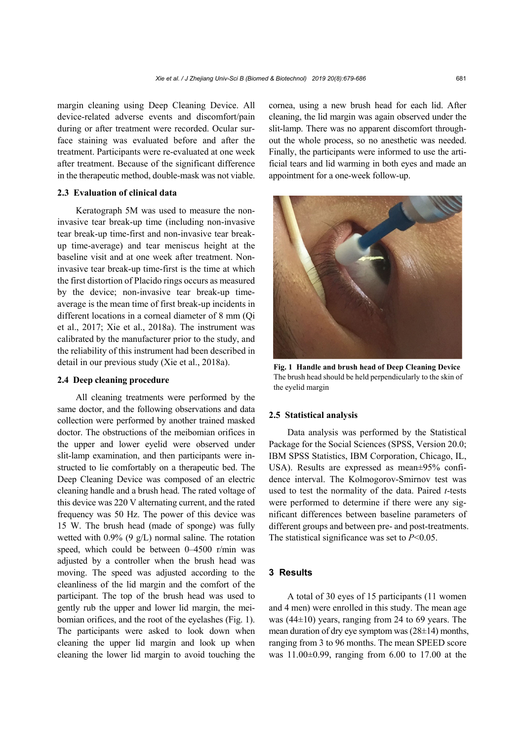margin cleaning using Deep Cleaning Device. All device-related adverse events and discomfort/pain during or after treatment were recorded. Ocular surface staining was evaluated before and after the treatment. Participants were re-evaluated at one week after treatment. Because of the significant difference in the therapeutic method, double-mask was not viable.

# **2.3 Evaluation of clinical data**

Keratograph 5M was used to measure the noninvasive tear break-up time (including non-invasive tear break-up time-first and non-invasive tear breakup time-average) and tear meniscus height at the baseline visit and at one week after treatment. Noninvasive tear break-up time-first is the time at which the first distortion of Placido rings occurs as measured by the device; non-invasive tear break-up timeaverage is the mean time of first break-up incidents in different locations in a corneal diameter of 8 mm (Qi et al., 2017; Xie et al., 2018a). The instrument was calibrated by the manufacturer prior to the study, and the reliability of this instrument had been described in detail in our previous study (Xie et al., 2018a).

# **2.4 Deep cleaning procedure**

All cleaning treatments were performed by the same doctor, and the following observations and data collection were performed by another trained masked doctor. The obstructions of the meibomian orifices in the upper and lower eyelid were observed under slit-lamp examination, and then participants were instructed to lie comfortably on a therapeutic bed. The Deep Cleaning Device was composed of an electric cleaning handle and a brush head. The rated voltage of this device was 220 V alternating current, and the rated frequency was 50 Hz. The power of this device was 15 W. The brush head (made of sponge) was fully wetted with 0.9% (9 g/L) normal saline. The rotation speed, which could be between 0–4500 r/min was adjusted by a controller when the brush head was moving. The speed was adjusted according to the cleanliness of the lid margin and the comfort of the participant. The top of the brush head was used to gently rub the upper and lower lid margin, the meibomian orifices, and the root of the eyelashes (Fig. 1). The participants were asked to look down when cleaning the upper lid margin and look up when cleaning the lower lid margin to avoid touching the cornea, using a new brush head for each lid. After cleaning, the lid margin was again observed under the slit-lamp. There was no apparent discomfort throughout the whole process, so no anesthetic was needed. Finally, the participants were informed to use the artificial tears and lid warming in both eyes and made an appointment for a one-week follow-up.



**Fig. 1 Handle and brush head of Deep Cleaning Device** The brush head should be held perpendicularly to the skin of the eyelid margin

### **2.5 Statistical analysis**

Data analysis was performed by the Statistical Package for the Social Sciences (SPSS, Version 20.0; IBM SPSS Statistics, IBM Corporation, Chicago, IL, USA). Results are expressed as mean±95% confidence interval. The Kolmogorov-Smirnov test was used to test the normality of the data. Paired *t*-tests were performed to determine if there were any significant differences between baseline parameters of different groups and between pre- and post-treatments. The statistical significance was set to *P*<0.05.

# **3 Results**

A total of 30 eyes of 15 participants (11 women and 4 men) were enrolled in this study. The mean age was (44±10) years, ranging from 24 to 69 years. The mean duration of dry eye symptom was (28±14) months, ranging from 3 to 96 months. The mean SPEED score was 11.00±0.99, ranging from 6.00 to 17.00 at the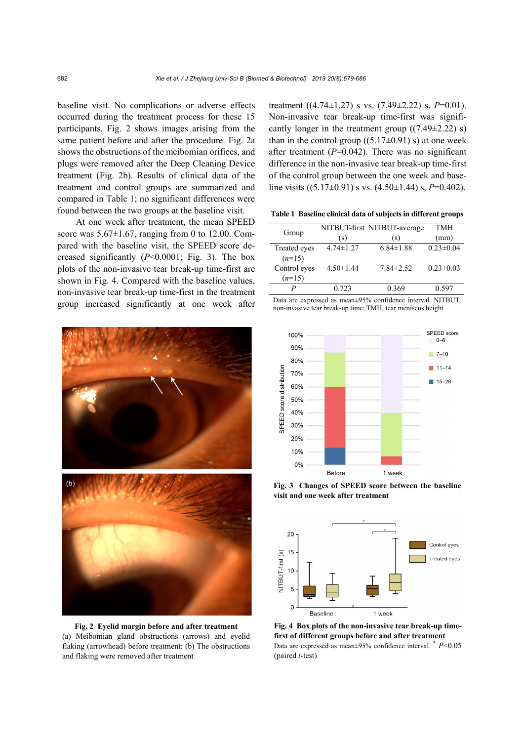baseline visit. No complications or adverse effects occurred during the treatment process for these 15 participants. Fig. 2 shows images arising from the same patient before and after the procedure. Fig. 2a shows the obstructions of the meibomian orifices, and plugs were removed after the Deep Cleaning Device treatment (Fig. 2b). Results of clinical data of the treatment and control groups are summarized and compared in Table 1; no significant differences were found between the two groups at the baseline visit.

At one week after treatment, the mean SPEED score was  $5.67\pm1.67$ , ranging from 0 to 12.00. Compared with the baseline visit, the SPEED score decreased significantly (*P*<0.0001; Fig. 3). The box plots of the non-invasive tear break-up time-first are shown in Fig. 4. Compared with the baseline values, non-invasive tear break-up time-first in the treatment group increased significantly at one week after



**Fig. 2 Eyelid margin before and after treatment**  (a) Meibomian gland obstructions (arrows) and eyelid flaking (arrowhead) before treatment; (b) The obstructions and flaking were removed after treatment

treatment ((4.74±1.27) s vs. (7.49±2.22) s, *P*=0.01). Non-invasive tear break-up time-first was significantly longer in the treatment group  $((7.49 \pm 2.22)$  s) than in the control group  $((5.17\pm0.91)$  s) at one week after treatment  $(P=0.042)$ . There was no significant difference in the non-invasive tear break-up time-first of the control group between the one week and baseline visits ((5.17±0.91) s vs. (4.50±1.44) s, *P*=0.402).

**Table 1 Baseline clinical data of subjects in different groups** 

| Group        |                 | NITBUT-first NITBUT-average | <b>TMH</b>      |
|--------------|-----------------|-----------------------------|-----------------|
|              | (s)             | (s)                         | (mm)            |
| Treated eyes | $4.74 \pm 1.27$ | $6.84 \pm 1.88$             | $0.23 \pm 0.04$ |
| $(n=15)$     |                 |                             |                 |
| Control eyes | $4.50 \pm 1.44$ | $7.84 \pm 2.52$             | $0.23 \pm 0.03$ |
| $(n=15)$     |                 |                             |                 |
|              | 0.723           | 0.369                       | 0.597           |

Data are expressed as mean±95% confidence interval. NITBUT, non-invasive tear break-up time; TMH, tear meniscus height



**Fig. 3 Changes of SPEED score between the baseline** 



**Fig. 4 Box plots of the non-invasive tear break-up timefirst of different groups before and after treatment**  Data are expressed as mean±95% confidence interval. \* *P*<0.05 (paired *t*-test)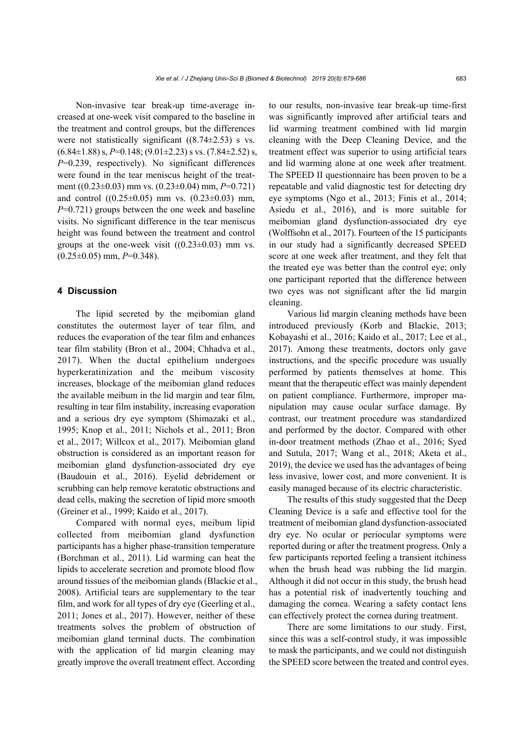Non-invasive tear break-up time-average increased at one-week visit compared to the baseline in the treatment and control groups, but the differences were not statistically significant  $((8.74\pm 2.53)$  s vs.  $(6.84\pm1.88)$  s,  $P=0.148$ ;  $(9.01\pm2.23)$  s vs.  $(7.84\pm2.52)$  s, *P*=0.239, respectively). No significant differences were found in the tear meniscus height of the treatment ((0.23±0.03) mm vs. (0.23±0.04) mm, *P*=0.721) and control  $((0.25\pm0.05)$  mm vs.  $(0.23\pm0.03)$  mm, *P*=0.721) groups between the one week and baseline visits. No significant difference in the tear meniscus height was found between the treatment and control groups at the one-week visit  $((0.23 \pm 0.03)$  mm vs.  $(0.25 \pm 0.05)$  mm,  $P=0.348$ ).

### **4 Discussion**

The lipid secreted by the meibomian gland constitutes the outermost layer of tear film, and reduces the evaporation of the tear film and enhances tear film stability (Bron et al., 2004; Chhadva et al., 2017). When the ductal epithelium undergoes hyperkeratinization and the meibum viscosity increases, blockage of the meibomian gland reduces the available meibum in the lid margin and tear film, resulting in tear film instability, increasing evaporation and a serious dry eye symptom (Shimazaki et al., 1995; Knop et al., 2011; Nichols et al., 2011; Bron et al., 2017; Willcox et al., 2017). Meibomian gland obstruction is considered as an important reason for meibomian gland dysfunction-associated dry eye (Baudouin et al., 2016). Eyelid debridement or scrubbing can help remove keratotic obstructions and dead cells, making the secretion of lipid more smooth (Greiner et al., 1999; Kaido et al., 2017).

Compared with normal eyes, meibum lipid collected from meibomian gland dysfunction participants has a higher phase-transition temperature (Borchman et al., 2011). Lid warming can heat the lipids to accelerate secretion and promote blood flow around tissues of the meibomian glands (Blackie et al., 2008). Artificial tears are supplementary to the tear film, and work for all types of dry eye (Geerling et al., 2011; Jones et al., 2017). However, neither of these treatments solves the problem of obstruction of meibomian gland terminal ducts. The combination with the application of lid margin cleaning may greatly improve the overall treatment effect. According

to our results, non-invasive tear break-up time-first was significantly improved after artificial tears and lid warming treatment combined with lid margin cleaning with the Deep Cleaning Device, and the treatment effect was superior to using artificial tears and lid warming alone at one week after treatment. The SPEED II questionnaire has been proven to be a repeatable and valid diagnostic test for detecting dry eye symptoms (Ngo et al., 2013; Finis et al., 2014; Asiedu et al., 2016), and is more suitable for meibomian gland dysfunction-associated dry eye (Wolffsohn et al., 2017). Fourteen of the 15 participants in our study had a significantly decreased SPEED score at one week after treatment, and they felt that the treated eye was better than the control eye; only one participant reported that the difference between two eyes was not significant after the lid margin cleaning.

Various lid margin cleaning methods have been introduced previously (Korb and Blackie, 2013; Kobayashi et al., 2016; Kaido et al., 2017; Lee et al., 2017). Among these treatments, doctors only gave instructions, and the specific procedure was usually performed by patients themselves at home. This meant that the therapeutic effect was mainly dependent on patient compliance. Furthermore, improper manipulation may cause ocular surface damage. By contrast, our treatment procedure was standardized and performed by the doctor. Compared with other in-door treatment methods (Zhao et al., 2016; Syed and Sutula, 2017; Wang et al., 2018; Aketa et al., 2019), the device we used has the advantages of being less invasive, lower cost, and more convenient. It is easily managed because of its electric characteristic.

The results of this study suggested that the Deep Cleaning Device is a safe and effective tool for the treatment of meibomian gland dysfunction-associated dry eye. No ocular or periocular symptoms were reported during or after the treatment progress. Only a few participants reported feeling a transient itchiness when the brush head was rubbing the lid margin. Although it did not occur in this study, the brush head has a potential risk of inadvertently touching and damaging the cornea. Wearing a safety contact lens can effectively protect the cornea during treatment.

There are some limitations to our study. First, since this was a self-control study, it was impossible to mask the participants, and we could not distinguish the SPEED score between the treated and control eyes.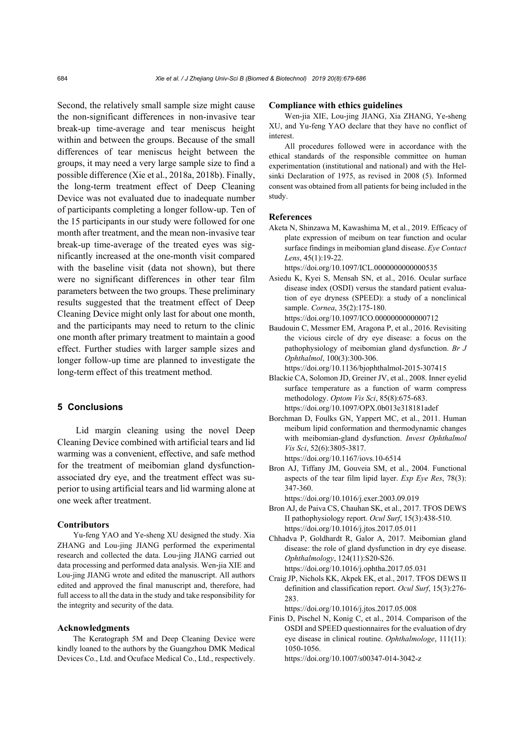Second, the relatively small sample size might cause the non-significant differences in non-invasive tear break-up time-average and tear meniscus height within and between the groups. Because of the small differences of tear meniscus height between the groups, it may need a very large sample size to find a possible difference (Xie et al., 2018a, 2018b). Finally, the long-term treatment effect of Deep Cleaning Device was not evaluated due to inadequate number of participants completing a longer follow-up. Ten of the 15 participants in our study were followed for one month after treatment, and the mean non-invasive tear break-up time-average of the treated eyes was significantly increased at the one-month visit compared with the baseline visit (data not shown), but there were no significant differences in other tear film parameters between the two groups. These preliminary results suggested that the treatment effect of Deep Cleaning Device might only last for about one month, and the participants may need to return to the clinic one month after primary treatment to maintain a good effect. Further studies with larger sample sizes and longer follow-up time are planned to investigate the long-term effect of this treatment method.

# **5 Conclusions**

Lid margin cleaning using the novel Deep Cleaning Device combined with artificial tears and lid warming was a convenient, effective, and safe method for the treatment of meibomian gland dysfunctionassociated dry eye, and the treatment effect was superior to using artificial tears and lid warming alone at one week after treatment.

# **Contributors**

Yu-feng YAO and Ye-sheng XU designed the study. Xia ZHANG and Lou-jing JIANG performed the experimental research and collected the data. Lou-jing JIANG carried out data processing and performed data analysis. Wen-jia XIE and Lou-jing JIANG wrote and edited the manuscript. All authors edited and approved the final manuscript and, therefore, had full access to all the data in the study and take responsibility for the integrity and security of the data.

### **Acknowledgments**

The Keratograph 5M and Deep Cleaning Device were kindly loaned to the authors by the Guangzhou DMK Medical Devices Co., Ltd. and Ocuface Medical Co., Ltd., respectively.

### **Compliance with ethics guidelines**

Wen-jia XIE, Lou-jing JIANG, Xia ZHANG, Ye-sheng XU, and Yu-feng YAO declare that they have no conflict of interest.

All procedures followed were in accordance with the ethical standards of the responsible committee on human experimentation (institutional and national) and with the Helsinki Declaration of 1975, as revised in 2008 (5). Informed consent was obtained from all patients for being included in the study.

# **References**

- Aketa N, Shinzawa M, Kawashima M, et al., 2019. Efficacy of plate expression of meibum on tear function and ocular surface findings in meibomian gland disease. *Eye Contact Lens*, 45(1):19-22. https://doi.org/10.1097/ICL.0000000000000535
- Asiedu K, Kyei S, Mensah SN, et al., 2016. Ocular surface disease index (OSDI) versus the standard patient evaluation of eye dryness (SPEED): a study of a nonclinical sample. *Cornea*, 35(2):175-180.

https://doi.org/10.1097/ICO.0000000000000712

Baudouin C, Messmer EM, Aragona P, et al., 2016. Revisiting the vicious circle of dry eye disease: a focus on the pathophysiology of meibomian gland dysfunction. *Br J Ophthalmol*, 100(3):300-306.

https://doi.org/10.1136/bjophthalmol-2015-307415

- Blackie CA, Solomon JD, Greiner JV, et al., 2008. Inner eyelid surface temperature as a function of warm compress methodology. *Optom Vis Sci*, 85(8):675-683. https://doi.org/10.1097/OPX.0b013e318181adef
- Borchman D, Foulks GN, Yappert MC, et al., 2011. Human meibum lipid conformation and thermodynamic changes with meibomian-gland dysfunction. *Invest Ophthalmol Vis Sci*, 52(6):3805-3817.

https://doi.org/10.1167/iovs.10-6514

Bron AJ, Tiffany JM, Gouveia SM, et al., 2004. Functional aspects of the tear film lipid layer. *Exp Eye Res*, 78(3): 347-360.

https://doi.org/10.1016/j.exer.2003.09.019

- Bron AJ, de Paiva CS, Chauhan SK, et al., 2017. TFOS DEWS II pathophysiology report. *Ocul Surf*, 15(3):438-510. https://doi.org/10.1016/j.jtos.2017.05.011
- Chhadva P, Goldhardt R, Galor A, 2017. Meibomian gland disease: the role of gland dysfunction in dry eye disease. *Ophthalmology*, 124(11):S20-S26. https://doi.org/10.1016/j.ophtha.2017.05.031
- Craig JP, Nichols KK, Akpek EK, et al., 2017. TFOS DEWS II definition and classification report. *Ocul Surf*, 15(3):276- 283.

https://doi.org/10.1016/j.jtos.2017.05.008

Finis D, Pischel N, Konig C, et al., 2014. Comparison of the OSDI and SPEED questionnaires for the evaluation of dry eye disease in clinical routine. *Ophthalmologe*, 111(11): 1050-1056.

https://doi.org/10.1007/s00347-014-3042-z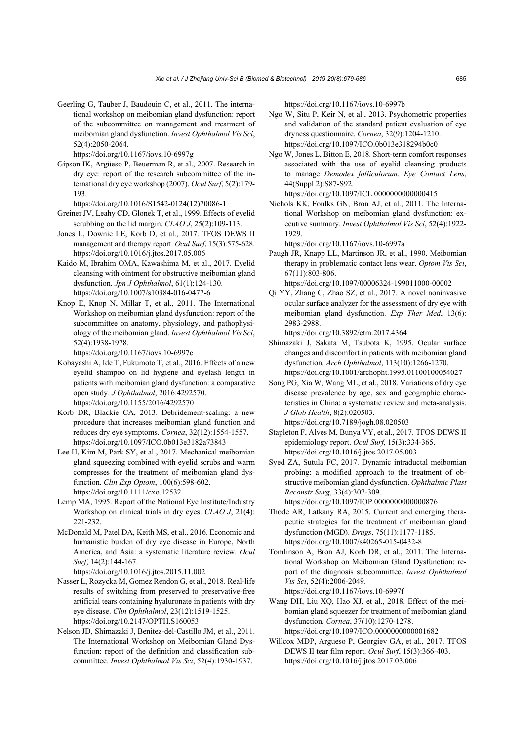Geerling G, Tauber J, Baudouin C, et al., 2011. The international workshop on meibomian gland dysfunction: report of the subcommittee on management and treatment of meibomian gland dysfunction. *Invest Ophthalmol Vis Sci*, 52(4):2050-2064.

https://doi.org/10.1167/iovs.10-6997g

- Gipson IK, Argüeso P, Beuerman R, et al., 2007. Research in dry eye: report of the research subcommittee of the international dry eye workshop (2007). *Ocul Surf*, 5(2):179- 193.
	- https://doi.org/10.1016/S1542-0124(12)70086-1
- Greiner JV, Leahy CD, Glonek T, et al., 1999. Effects of eyelid scrubbing on the lid margin. *CLAO J*, 25(2):109-113.
- Jones L, Downie LE, Korb D, et al., 2017. TFOS DEWS II management and therapy report. *Ocul Surf*, 15(3):575-628. https://doi.org/10.1016/j.jtos.2017.05.006
- Kaido M, Ibrahim OMA, Kawashima M, et al., 2017. Eyelid cleansing with ointment for obstructive meibomian gland dysfunction. *Jpn J Ophthalmol*, 61(1):124-130. https://doi.org/10.1007/s10384-016-0477-6
- Knop E, Knop N, Millar T, et al., 2011. The International Workshop on meibomian gland dysfunction: report of the subcommittee on anatomy, physiology, and pathophysiology of the meibomian gland. *Invest Ophthalmol Vis Sci*, 52(4):1938-1978.

https://doi.org/10.1167/iovs.10-6997c

- Kobayashi A, Ide T, Fukumoto T, et al., 2016. Effects of a new eyelid shampoo on lid hygiene and eyelash length in patients with meibomian gland dysfunction: a comparative open study. *J Ophthalmol*, 2016:4292570. https://doi.org/10.1155/2016/4292570
- Korb DR, Blackie CA, 2013. Debridement-scaling: a new procedure that increases meibomian gland function and reduces dry eye symptoms. *Cornea*, 32(12):1554-1557. https://doi.org/10.1097/ICO.0b013e3182a73843
- Lee H, Kim M, Park SY, et al., 2017. Mechanical meibomian gland squeezing combined with eyelid scrubs and warm compresses for the treatment of meibomian gland dysfunction. *Clin Exp Optom*, 100(6):598-602. https://doi.org/10.1111/cxo.12532
- Lemp MA, 1995. Report of the National Eye Institute/Industry Workshop on clinical trials in dry eyes. *CLAO J*, 21(4): 221-232.
- McDonald M, Patel DA, Keith MS, et al., 2016. Economic and humanistic burden of dry eye disease in Europe, North America, and Asia: a systematic literature review. *Ocul Surf*, 14(2):144-167.

https://doi.org/10.1016/j.jtos.2015.11.002

- Nasser L, Rozycka M, Gomez Rendon G, et al., 2018. Real-life results of switching from preserved to preservative-free artificial tears containing hyaluronate in patients with dry eye disease. *Clin Ophthalmol*, 23(12):1519-1525. https://doi.org/10.2147/OPTH.S160053
- Nelson JD, Shimazaki J, Benitez-del-Castillo JM, et al., 2011. The International Workshop on Meibomian Gland Dysfunction: report of the definition and classification subcommittee. *Invest Ophthalmol Vis Sci*, 52(4):1930-1937.

https://doi.org/10.1167/iovs.10-6997b

- Ngo W, Situ P, Keir N, et al., 2013. Psychometric properties and validation of the standard patient evaluation of eye dryness questionnaire. *Cornea*, 32(9):1204-1210. https://doi.org/10.1097/ICO.0b013e318294b0c0
- Ngo W, Jones L, Bitton E, 2018. Short-term comfort responses associated with the use of eyelid cleansing products to manage *Demodex folliculorum*. *Eye Contact Lens*, 44(Suppl 2):S87-S92.

https://doi.org/10.1097/ICL.0000000000000415

Nichols KK, Foulks GN, Bron AJ, et al., 2011. The International Workshop on meibomian gland dysfunction: executive summary. *Invest Ophthalmol Vis Sci*, 52(4):1922- 1929.

https://doi.org/10.1167/iovs.10-6997a

Paugh JR, Knapp LL, Martinson JR, et al., 1990. Meibomian therapy in problematic contact lens wear. *Optom Vis Sci*, 67(11):803-806.

https://doi.org/10.1097/00006324-199011000-00002

Qi YY, Zhang C, Zhao SZ, et al., 2017. A novel noninvasive ocular surface analyzer for the assessment of dry eye with meibomian gland dysfunction. *Exp Ther Med*, 13(6): 2983-2988.

https://doi.org/10.3892/etm.2017.4364

- Shimazaki J, Sakata M, Tsubota K, 1995. Ocular surface changes and discomfort in patients with meibomian gland dysfunction. *Arch Ophthalmol*, 113(10):1266-1270. https://doi.org/10.1001/archopht.1995.01100100054027
- Song PG, Xia W, Wang ML, et al., 2018. Variations of dry eye disease prevalence by age, sex and geographic characteristics in China: a systematic review and meta-analysis. *J Glob Health*, 8(2):020503.

https://doi.org/10.7189/jogh.08.020503

- Stapleton F, Alves M, Bunya VY, et al., 2017. TFOS DEWS II epidemiology report. *Ocul Surf*, 15(3):334-365. https://doi.org/10.1016/j.jtos.2017.05.003
- Syed ZA, Sutula FC, 2017. Dynamic intraductal meibomian probing: a modified approach to the treatment of obstructive meibomian gland dysfunction. *Ophthalmic Plast Reconstr Surg*, 33(4):307-309. https://doi.org/10.1097/IOP.0000000000000876
- Thode AR, Latkany RA, 2015. Current and emerging therapeutic strategies for the treatment of meibomian gland dysfunction (MGD). *Drugs*, 75(11):1177-1185. https://doi.org/10.1007/s40265-015-0432-8
- Tomlinson A, Bron AJ, Korb DR, et al., 2011. The International Workshop on Meibomian Gland Dysfunction: report of the diagnosis subcommittee. *Invest Ophthalmol Vis Sci*, 52(4):2006-2049. https://doi.org/10.1167/iovs.10-6997f
- Wang DH, Liu XQ, Hao XJ, et al., 2018. Effect of the meibomian gland squeezer for treatment of meibomian gland dysfunction. *Cornea*, 37(10):1270-1278. https://doi.org/10.1097/ICO.0000000000001682
- Willcox MDP, Argueso P, Georgiev GA, et al., 2017. TFOS DEWS II tear film report. *Ocul Surf*, 15(3):366-403. https://doi.org/10.1016/j.jtos.2017.03.006